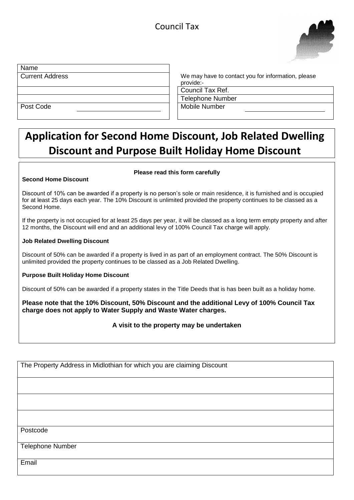

| Name                   |                                                    |
|------------------------|----------------------------------------------------|
| <b>Current Address</b> | We may have to contact you for information, please |
|                        | provide:-                                          |
|                        | Council Tax Ref.                                   |
|                        | <b>Telephone Number</b>                            |
| Post Code              | Mobile Number                                      |
|                        |                                                    |

# **Application for Second Home Discount, Job Related Dwelling Discount and Purpose Built Holiday Home Discount**

#### **Second Home Discount**

#### **Please read this form carefully**

Discount of 10% can be awarded if a property is no person's sole or main residence, it is furnished and is occupied for at least 25 days each year. The 10% Discount is unlimited provided the property continues to be classed as a Second Home.

If the property is not occupied for at least 25 days per year, it will be classed as a long term empty property and after 12 months, the Discount will end and an additional levy of 100% Council Tax charge will apply.

#### **Job Related Dwelling Discount**

Discount of 50% can be awarded if a property is lived in as part of an employment contract. The 50% Discount is unlimited provided the property continues to be classed as a Job Related Dwelling.

#### **Purpose Built Holiday Home Discount**

Discount of 50% can be awarded if a property states in the Title Deeds that is has been built as a holiday home.

**Please note that the 10% Discount, 50% Discount and the additional Levy of 100% Council Tax charge does not apply to Water Supply and Waste Water charges.**

#### **A visit to the property may be undertaken**

The Property Address in Midlothian for which you are claiming Discount

Postcode

Telephone Number

Email